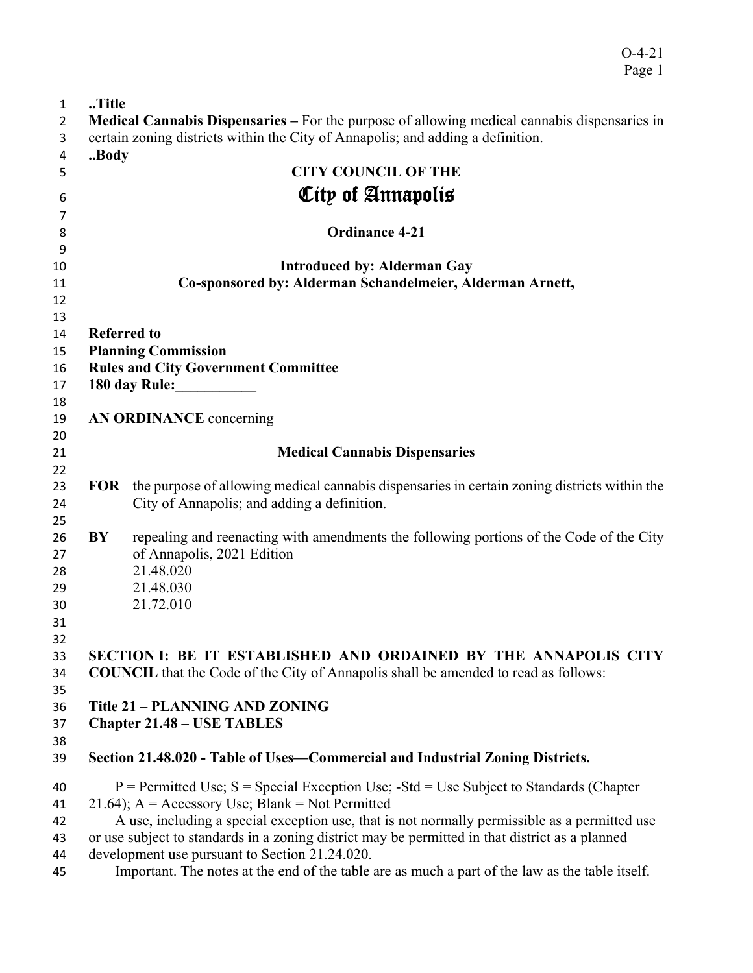O-4-21 Page 1

| $\mathbf{1}$ | Title                                              |                                                                                                         |  |  |
|--------------|----------------------------------------------------|---------------------------------------------------------------------------------------------------------|--|--|
| 2            |                                                    | <b>Medical Cannabis Dispensaries – For the purpose of allowing medical cannabis dispensaries in</b>     |  |  |
| 3            |                                                    | certain zoning districts within the City of Annapolis; and adding a definition.                         |  |  |
| 4            | Body                                               |                                                                                                         |  |  |
| 5            |                                                    | <b>CITY COUNCIL OF THE</b>                                                                              |  |  |
| 6            |                                                    | City of Annapolis                                                                                       |  |  |
|              |                                                    |                                                                                                         |  |  |
| 7            |                                                    | <b>Ordinance 4-21</b>                                                                                   |  |  |
| 8            |                                                    |                                                                                                         |  |  |
| 9            |                                                    |                                                                                                         |  |  |
| 10           |                                                    | <b>Introduced by: Alderman Gay</b>                                                                      |  |  |
| 11           |                                                    | Co-sponsored by: Alderman Schandelmeier, Alderman Arnett,                                               |  |  |
| 12           |                                                    |                                                                                                         |  |  |
| 13           |                                                    |                                                                                                         |  |  |
| 14           | <b>Referred to</b>                                 |                                                                                                         |  |  |
| 15           |                                                    | <b>Planning Commission</b>                                                                              |  |  |
| 16           |                                                    | <b>Rules and City Government Committee</b>                                                              |  |  |
| 17           |                                                    | 180 day Rule:                                                                                           |  |  |
| 18           |                                                    |                                                                                                         |  |  |
| 19           |                                                    | AN ORDINANCE concerning                                                                                 |  |  |
| 20           |                                                    |                                                                                                         |  |  |
| 21           |                                                    | <b>Medical Cannabis Dispensaries</b>                                                                    |  |  |
| 22<br>23     |                                                    | <b>FOR</b> the purpose of allowing medical cannabis dispensaries in certain zoning districts within the |  |  |
| 24           |                                                    | City of Annapolis; and adding a definition.                                                             |  |  |
| 25           |                                                    |                                                                                                         |  |  |
| 26           | BY                                                 | repealing and reenacting with amendments the following portions of the Code of the City                 |  |  |
| 27           |                                                    | of Annapolis, 2021 Edition                                                                              |  |  |
| 28           |                                                    | 21.48.020                                                                                               |  |  |
| 29           |                                                    | 21.48.030                                                                                               |  |  |
| 30           |                                                    | 21.72.010                                                                                               |  |  |
| 31           |                                                    |                                                                                                         |  |  |
| 32           |                                                    |                                                                                                         |  |  |
| 33           |                                                    | SECTION I: BE IT ESTABLISHED AND ORDAINED BY THE ANNAPOLIS CITY                                         |  |  |
| 34           |                                                    | <b>COUNCIL</b> that the Code of the City of Annapolis shall be amended to read as follows:              |  |  |
| 35           |                                                    |                                                                                                         |  |  |
| 36           |                                                    | Title 21 - PLANNING AND ZONING                                                                          |  |  |
| 37           |                                                    | <b>Chapter 21.48 – USE TABLES</b>                                                                       |  |  |
| 38           |                                                    |                                                                                                         |  |  |
| 39           |                                                    | Section 21.48.020 - Table of Uses—Commercial and Industrial Zoning Districts.                           |  |  |
| 40           |                                                    | $P =$ Permitted Use; S = Special Exception Use; -Std = Use Subject to Standards (Chapter                |  |  |
| 41           | 21.64); $A =$ Accessory Use; Blank = Not Permitted |                                                                                                         |  |  |
| 42           |                                                    | A use, including a special exception use, that is not normally permissible as a permitted use           |  |  |
| 43           |                                                    | or use subject to standards in a zoning district may be permitted in that district as a planned         |  |  |
| 44           |                                                    | development use pursuant to Section 21.24.020.                                                          |  |  |
| 45           |                                                    | Important. The notes at the end of the table are as much a part of the law as the table itself.         |  |  |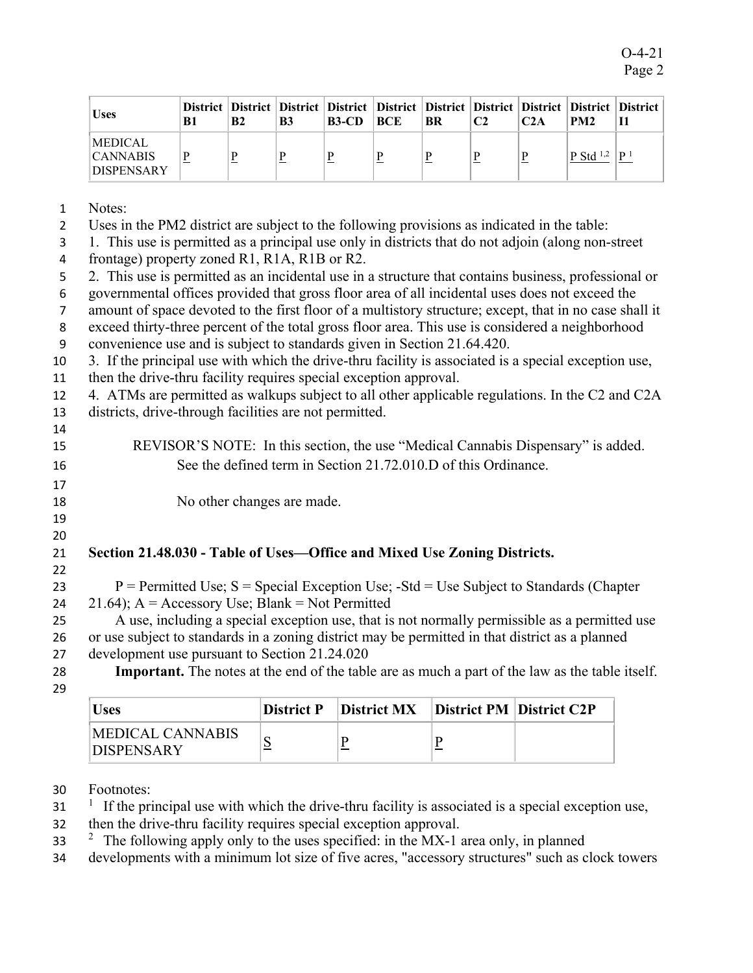| <b>Uses</b>                                     | <b>B1</b> | <b>B2</b> | B3 | District   District   District   District   District   District   District   District   District   District<br>$B3-CD$ | BCE | <b>BR</b> | C <sub>2</sub> | C2A | PM <sub>2</sub>                   |                |
|-------------------------------------------------|-----------|-----------|----|------------------------------------------------------------------------------------------------------------------------|-----|-----------|----------------|-----|-----------------------------------|----------------|
| MEDICAL<br><b>CANNABIS</b><br><b>DISPENSARY</b> | P         |           | P  |                                                                                                                        |     | D         | D              | P   | <sup>1</sup> P Std <sup>1,2</sup> | P <sup>1</sup> |

- 1 Notes:
- 2 Uses in the PM2 district are subject to the following provisions as indicated in the table:

3 1. This use is permitted as a principal use only in districts that do not adjoin (along non-street

- 4 frontage) property zoned R1, R1A, R1B or R2.
- 5 2. This use is permitted as an incidental use in a structure that contains business, professional or
- 6 governmental offices provided that gross floor area of all incidental uses does not exceed the
- 7 amount of space devoted to the first floor of a multistory structure; except, that in no case shall it
- 8 exceed thirty-three percent of the total gross floor area. This use is considered a neighborhood
- 9 convenience use and is subject to standards given in Section 21.64.420.
- 10 3. If the principal use with which the drive-thru facility is associated is a special exception use,
- 11 then the drive-thru facility requires special exception approval.
- 12 4. ATMs are permitted as walkups subject to all other applicable regulations. In the C2 and C2A
- 13 districts, drive-through facilities are not permitted. 14
- 15 REVISOR'S NOTE: In this section, the use "Medical Cannabis Dispensary" is added. 16 See the defined term in Section 21.72.010.D of this Ordinance.
- 18 No other changes are made.
- 19 20

22

17

## 21 **Section 21.48.030 - Table of Uses—Office and Mixed Use Zoning Districts.**

- 23  $P =$  Permitted Use;  $S =$  Special Exception Use; -Std = Use Subject to Standards (Chapter 24  $21.64$ ; A = Accessory Use; Blank = Not Permitted
- 25 A use, including a special exception use, that is not normally permissible as a permitted use 26 or use subject to standards in a zoning district may be permitted in that district as a planned
- 27 development use pursuant to Section 21.24.020
- 

28 **Important.** The notes at the end of the table are as much a part of the law as the table itself.

29

| <b>Uses</b>                                  |   | District P   District MX   District PM   District C2P |  |
|----------------------------------------------|---|-------------------------------------------------------|--|
| <b>MEDICAL CANNABIS</b><br><b>DISPENSARY</b> | ັ |                                                       |  |

- 30 Footnotes:
- $1$  If the principal use with which the drive-thru facility is associated is a special exception use,
- 32 then the drive-thru facility requires special exception approval.
- $2^2$  The following apply only to the uses specified: in the MX-1 area only, in planned
- 34 developments with a minimum lot size of five acres, "accessory structures" such as clock towers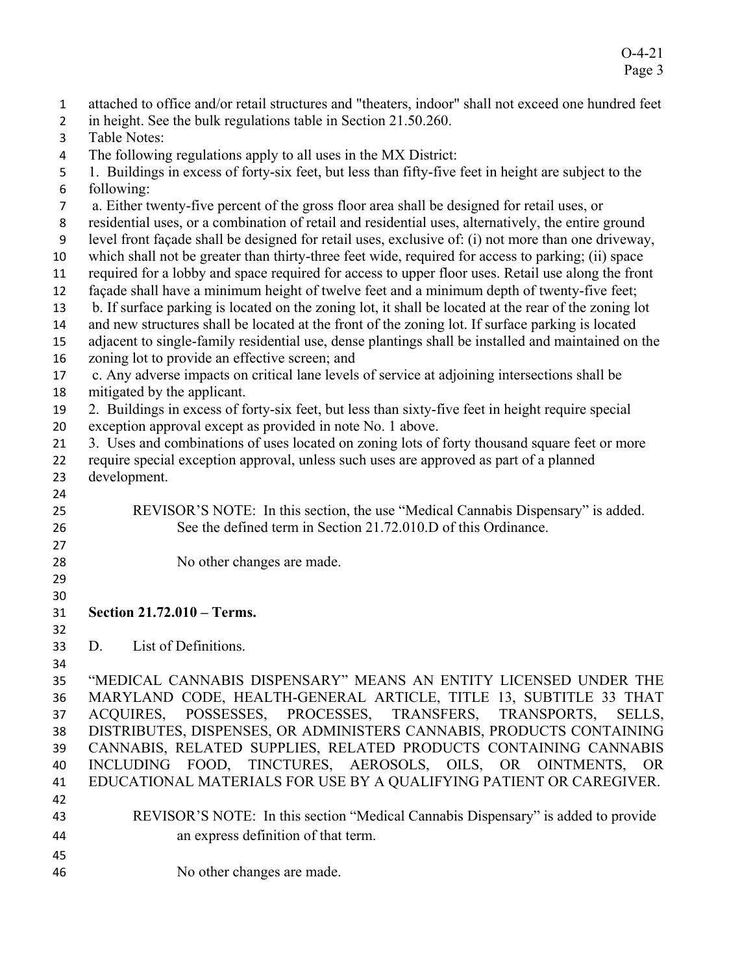| $\mathbf{1}$   | attached to office and/or retail structures and "theaters, indoor" shall not exceed one hundred feet  |  |  |  |  |  |
|----------------|-------------------------------------------------------------------------------------------------------|--|--|--|--|--|
| $\overline{2}$ | in height. See the bulk regulations table in Section 21.50.260.                                       |  |  |  |  |  |
| 3              | <b>Table Notes:</b>                                                                                   |  |  |  |  |  |
| 4              | The following regulations apply to all uses in the MX District:                                       |  |  |  |  |  |
| 5              | 1. Buildings in excess of forty-six feet, but less than fifty-five feet in height are subject to the  |  |  |  |  |  |
| 6              | following:                                                                                            |  |  |  |  |  |
| $\overline{7}$ | a. Either twenty-five percent of the gross floor area shall be designed for retail uses, or           |  |  |  |  |  |
| 8              | residential uses, or a combination of retail and residential uses, alternatively, the entire ground   |  |  |  |  |  |
| 9              | level front façade shall be designed for retail uses, exclusive of: (i) not more than one driveway,   |  |  |  |  |  |
| 10             | which shall not be greater than thirty-three feet wide, required for access to parking; (ii) space    |  |  |  |  |  |
| 11             | required for a lobby and space required for access to upper floor uses. Retail use along the front    |  |  |  |  |  |
| 12             | façade shall have a minimum height of twelve feet and a minimum depth of twenty-five feet;            |  |  |  |  |  |
| 13             | b. If surface parking is located on the zoning lot, it shall be located at the rear of the zoning lot |  |  |  |  |  |
| 14             | and new structures shall be located at the front of the zoning lot. If surface parking is located     |  |  |  |  |  |
| 15             | adjacent to single-family residential use, dense plantings shall be installed and maintained on the   |  |  |  |  |  |
| 16             | zoning lot to provide an effective screen; and                                                        |  |  |  |  |  |
| 17             | c. Any adverse impacts on critical lane levels of service at adjoining intersections shall be         |  |  |  |  |  |
| 18             | mitigated by the applicant.                                                                           |  |  |  |  |  |
| 19             | 2. Buildings in excess of forty-six feet, but less than sixty-five feet in height require special     |  |  |  |  |  |
| 20             | exception approval except as provided in note No. 1 above.                                            |  |  |  |  |  |
| 21             | 3. Uses and combinations of uses located on zoning lots of forty thousand square feet or more         |  |  |  |  |  |
| 22             | require special exception approval, unless such uses are approved as part of a planned                |  |  |  |  |  |
| 23             | development.                                                                                          |  |  |  |  |  |
| 24             |                                                                                                       |  |  |  |  |  |
| 25             | REVISOR'S NOTE: In this section, the use "Medical Cannabis Dispensary" is added.                      |  |  |  |  |  |
| 26             | See the defined term in Section 21.72.010.D of this Ordinance.                                        |  |  |  |  |  |
| 27             |                                                                                                       |  |  |  |  |  |
| 28             | No other changes are made.                                                                            |  |  |  |  |  |
| 29             |                                                                                                       |  |  |  |  |  |
| 30             |                                                                                                       |  |  |  |  |  |
| 31             | Section 21.72.010 - Terms.                                                                            |  |  |  |  |  |
| 32             | List of Definitions.                                                                                  |  |  |  |  |  |
| 33             | D.                                                                                                    |  |  |  |  |  |
| 34             | "MEDICAL CANNABIS DISPENSARY" MEANS AN ENTITY LICENSED UNDER THE                                      |  |  |  |  |  |
| 35             | MARYLAND CODE, HEALTH-GENERAL ARTICLE, TITLE 13, SUBTITLE 33 THAT                                     |  |  |  |  |  |
| 36             | ACQUIRES, POSSESSES, PROCESSES, TRANSFERS, TRANSPORTS,<br>SELLS.                                      |  |  |  |  |  |
| 37             | DISTRIBUTES, DISPENSES, OR ADMINISTERS CANNABIS, PRODUCTS CONTAINING                                  |  |  |  |  |  |
| 38             | CANNABIS, RELATED SUPPLIES, RELATED PRODUCTS CONTAINING CANNABIS                                      |  |  |  |  |  |
| 39             | INCLUDING FOOD, TINCTURES, AEROSOLS, OILS, OR OINTMENTS, OR                                           |  |  |  |  |  |
| 40<br>41       | EDUCATIONAL MATERIALS FOR USE BY A QUALIFYING PATIENT OR CAREGIVER.                                   |  |  |  |  |  |
| 42             |                                                                                                       |  |  |  |  |  |
| 43             | REVISOR'S NOTE: In this section "Medical Cannabis Dispensary" is added to provide                     |  |  |  |  |  |
|                |                                                                                                       |  |  |  |  |  |
| 44             | an express definition of that term.                                                                   |  |  |  |  |  |
| 45             |                                                                                                       |  |  |  |  |  |
| 46             | No other changes are made.                                                                            |  |  |  |  |  |